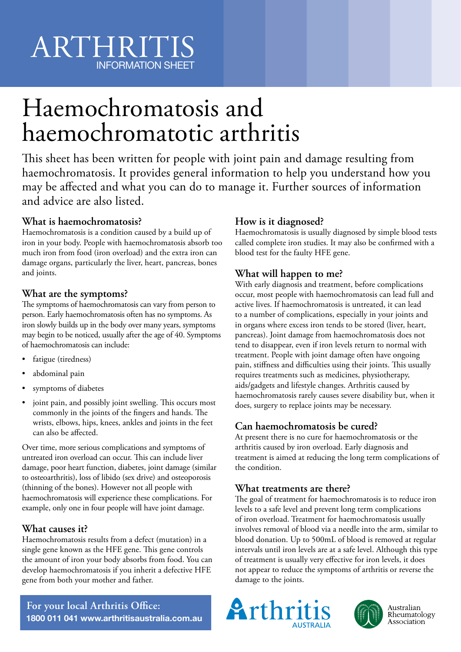# Haemochromatosis and haemochromatotic arthritis

This sheet has been written for people with joint pain and damage resulting from haemochromatosis. It provides general information to help you understand how you may be affected and what you can do to manage it. Further sources of information and advice are also listed.

# **What is haemochromatosis?**

Haemochromatosis is a condition caused by a build up of iron in your body. People with haemochromatosis absorb too much iron from food (iron overload) and the extra iron can damage organs, particularly the liver, heart, pancreas, bones and joints.

# **What are the symptoms?**

The symptoms of haemochromatosis can vary from person to person. Early haemochromatosis often has no symptoms. As iron slowly builds up in the body over many years, symptoms may begin to be noticed, usually after the age of 40. Symptoms of haemochromatosis can include:

- fatigue (tiredness)
- abdominal pain
- symptoms of diabetes
- joint pain, and possibly joint swelling. This occurs most commonly in the joints of the fingers and hands. The wrists, elbows, hips, knees, ankles and joints in the feet can also be affected.

Over time, more serious complications and symptoms of untreated iron overload can occur. This can include liver damage, poor heart function, diabetes, joint damage (similar to osteoarthritis), loss of libido (sex drive) and osteoporosis (thinning of the bones). However not all people with haemochromatosis will experience these complications. For example, only one in four people will have joint damage.

## **What causes it?**

Haemochromatosis results from a defect (mutation) in a single gene known as the HFE gene. This gene controls the amount of iron your body absorbs from food. You can develop haemochromatosis if you inherit a defective HFE gene from both your mother and father.

# **How is it diagnosed?**

Haemochromatosis is usually diagnosed by simple blood tests called complete iron studies. It may also be confirmed with a blood test for the faulty HFE gene.

# **What will happen to me?**

With early diagnosis and treatment, before complications occur, most people with haemochromatosis can lead full and active lives. If haemochromatosis is untreated, it can lead to a number of complications, especially in your joints and in organs where excess iron tends to be stored (liver, heart, pancreas). Joint damage from haemochromatosis does not tend to disappear, even if iron levels return to normal with treatment. People with joint damage often have ongoing pain, stiffness and difficulties using their joints. This usually requires treatments such as medicines, physiotherapy, aids/gadgets and lifestyle changes. Arthritis caused by haemochromatosis rarely causes severe disability but, when it does, surgery to replace joints may be necessary.

# **Can haemochromatosis be cured?**

At present there is no cure for haemochromatosis or the arthritis caused by iron overload. Early diagnosis and treatment is aimed at reducing the long term complications of the condition.

## **What treatments are there?**

The goal of treatment for haemochromatosis is to reduce iron levels to a safe level and prevent long term complications of iron overload. Treatment for haemochromatosis usually involves removal of blood via a needle into the arm, similar to blood donation. Up to 500mL of blood is removed at regular intervals until iron levels are at a safe level. Although this type of treatment is usually very effective for iron levels, it does not appear to reduce the symptoms of arthritis or reverse the damage to the joints.





Australian Rheumatology Association

**For your local Arthritis Office: 1800 011 041 www.arthritisaustralia.com.au**